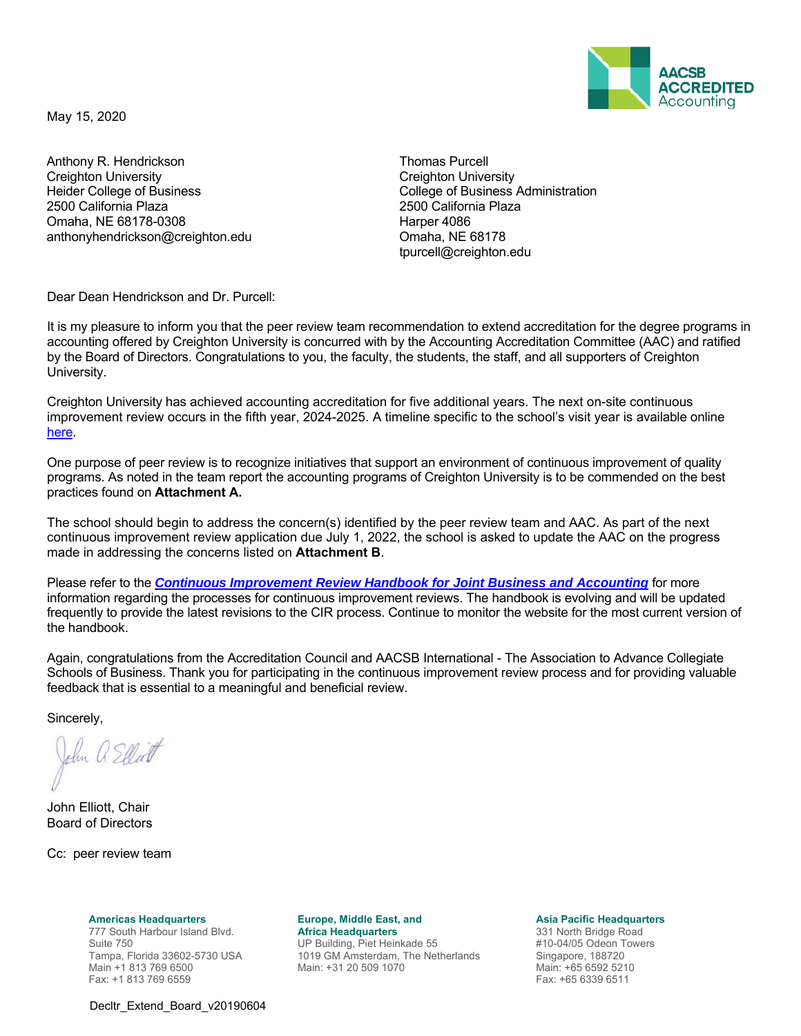

May 15, 2020

Anthony R. Hendrickson **Thomas Purcell** Creighton University Heider College of Business 2500 California Plaza Omaha, NE 68178-0308 anthonyhendrickson@creighton.edu

Creighton University College of Business Administration 2500 California Plaza Harper 4086 Omaha, NE 68178 tpurcell@creighton.edu

Dear Dean Hendrickson and Dr. Purcell:

It is my pleasure to inform you that the peer review team recommendation to extend accreditation for the degree programs in accounting offered by Creighton University is concurred with by the Accounting Accreditation Committee (AAC) and ratified by the Board of Directors. Congratulations to you, the faculty, the students, the staff, and all supporters of Creighton University.

Creighton University has achieved accounting accreditation for five additional years. The next on-site continuous improvement review occurs in the fifth year, 2024-2025. A timeline specific to the school's visit year is available online here.

One purpose of peer review is to recognize initiatives that support an environment of continuous improvement of quality programs. As noted in the team report the accounting programs of Creighton University is to be commended on the best practices found on **Attachment A.**

The school should begin to address the concern(s) identified by the peer review team and AAC. As part of the next continuous improvement review application due July 1, 2022, the school is asked to update the AAC on the progress made in addressing the concerns listed on **Attachment B**.

Please refer to the *Continuous Improvement Review Handbook for Joint Business and Accounting* for more information regarding the processes for continuous improvement reviews. The handbook is evolving and will be updated frequently to provide the latest revisions to the CIR process. Continue to monitor the website for the most current version of the handbook.

Again, congratulations from the Accreditation Council and AACSB International - The Association to Advance Collegiate Schools of Business. Thank you for participating in the continuous improvement review process and for providing valuable feedback that is essential to a meaningful and beneficial review.

Sincerely,

John a Ellert

John Elliott, Chair Board of Directors

Cc: peer review team

**Americas Headquarters**  777 South Harbour Island Blvd. Suite 750 Tampa, Florida 33602-5730 USA Main +1 813 769 6500 Fax: +1 813 769 6559

**Europe, Middle East, and Africa Headquarters** 

UP Building, Piet Heinkade 55 1019 GM Amsterdam, The Netherlands Main: +31 20 509 1070

**Asia Pacific Headquarters** 

331 North Bridge Road #10-04/05 Odeon Towers Singapore, 188720 Main: +65 6592 5210 Fax: +65 6339 6511

Decltr\_Extend\_Board\_v20190604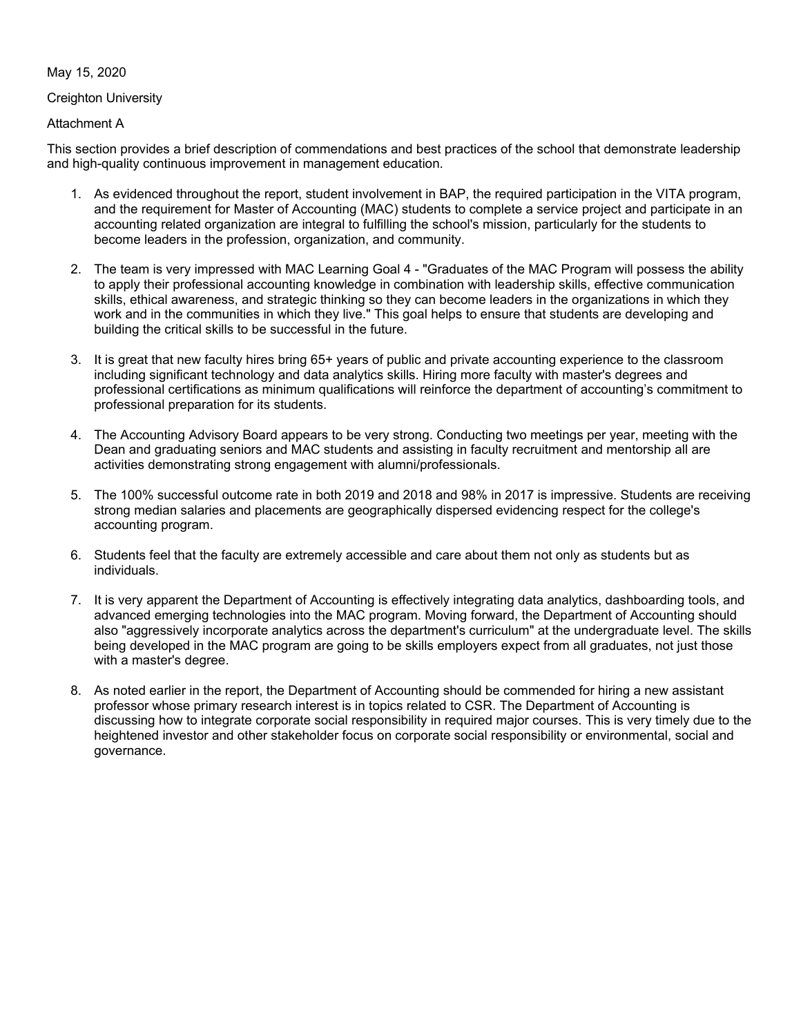### May 15, 2020

### Creighton University

# Attachment A

This section provides a brief description of commendations and best practices of the school that demonstrate leadership and high-quality continuous improvement in management education.

- 1. As evidenced throughout the report, student involvement in BAP, the required participation in the VITA program, and the requirement for Master of Accounting (MAC) students to complete a service project and participate in an accounting related organization are integral to fulfilling the school's mission, particularly for the students to become leaders in the profession, organization, and community.
- 2. The team is very impressed with MAC Learning Goal 4 "Graduates of the MAC Program will possess the ability to apply their professional accounting knowledge in combination with leadership skills, effective communication skills, ethical awareness, and strategic thinking so they can become leaders in the organizations in which they work and in the communities in which they live." This goal helps to ensure that students are developing and building the critical skills to be successful in the future.
- 3. It is great that new faculty hires bring 65+ years of public and private accounting experience to the classroom including significant technology and data analytics skills. Hiring more faculty with master's degrees and professional certifications as minimum qualifications will reinforce the department of accounting's commitment to professional preparation for its students.
- 4. The Accounting Advisory Board appears to be very strong. Conducting two meetings per year, meeting with the Dean and graduating seniors and MAC students and assisting in faculty recruitment and mentorship all are activities demonstrating strong engagement with alumni/professionals.
- 5. The 100% successful outcome rate in both 2019 and 2018 and 98% in 2017 is impressive. Students are receiving strong median salaries and placements are geographically dispersed evidencing respect for the college's accounting program.
- 6. Students feel that the faculty are extremely accessible and care about them not only as students but as individuals.
- 7. It is very apparent the Department of Accounting is effectively integrating data analytics, dashboarding tools, and advanced emerging technologies into the MAC program. Moving forward, the Department of Accounting should also "aggressively incorporate analytics across the department's curriculum" at the undergraduate level. The skills being developed in the MAC program are going to be skills employers expect from all graduates, not just those with a master's degree.
- 8. As noted earlier in the report, the Department of Accounting should be commended for hiring a new assistant professor whose primary research interest is in topics related to CSR. The Department of Accounting is discussing how to integrate corporate social responsibility in required major courses. This is very timely due to the heightened investor and other stakeholder focus on corporate social responsibility or environmental, social and governance.